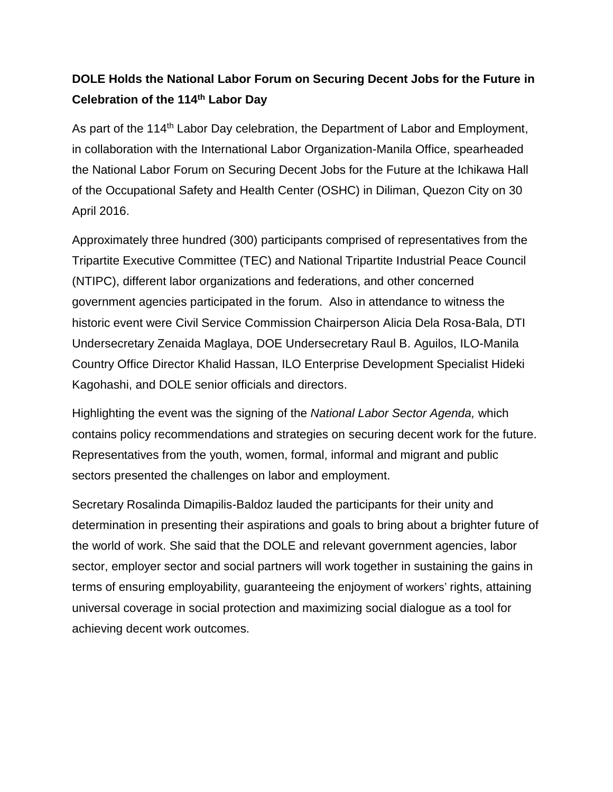## **DOLE Holds the National Labor Forum on Securing Decent Jobs for the Future in Celebration of the 114th Labor Day**

As part of the 114<sup>th</sup> Labor Day celebration, the Department of Labor and Employment, in collaboration with the International Labor Organization-Manila Office, spearheaded the National Labor Forum on Securing Decent Jobs for the Future at the Ichikawa Hall of the Occupational Safety and Health Center (OSHC) in Diliman, Quezon City on 30 April 2016.

Approximately three hundred (300) participants comprised of representatives from the Tripartite Executive Committee (TEC) and National Tripartite Industrial Peace Council (NTIPC), different labor organizations and federations, and other concerned government agencies participated in the forum. Also in attendance to witness the historic event were Civil Service Commission Chairperson Alicia Dela Rosa-Bala, DTI Undersecretary Zenaida Maglaya, DOE Undersecretary Raul B. Aguilos, ILO-Manila Country Office Director Khalid Hassan, ILO Enterprise Development Specialist Hideki Kagohashi, and DOLE senior officials and directors.

Highlighting the event was the signing of the *National Labor Sector Agenda,* which contains policy recommendations and strategies on securing decent work for the future. Representatives from the youth, women, formal, informal and migrant and public sectors presented the challenges on labor and employment.

Secretary Rosalinda Dimapilis-Baldoz lauded the participants for their unity and determination in presenting their aspirations and goals to bring about a brighter future of the world of work. She said that the DOLE and relevant government agencies, labor sector, employer sector and social partners will work together in sustaining the gains in terms of ensuring employability, guaranteeing the enjoyment of workers' rights, attaining universal coverage in social protection and maximizing social dialogue as a tool for achieving decent work outcomes.